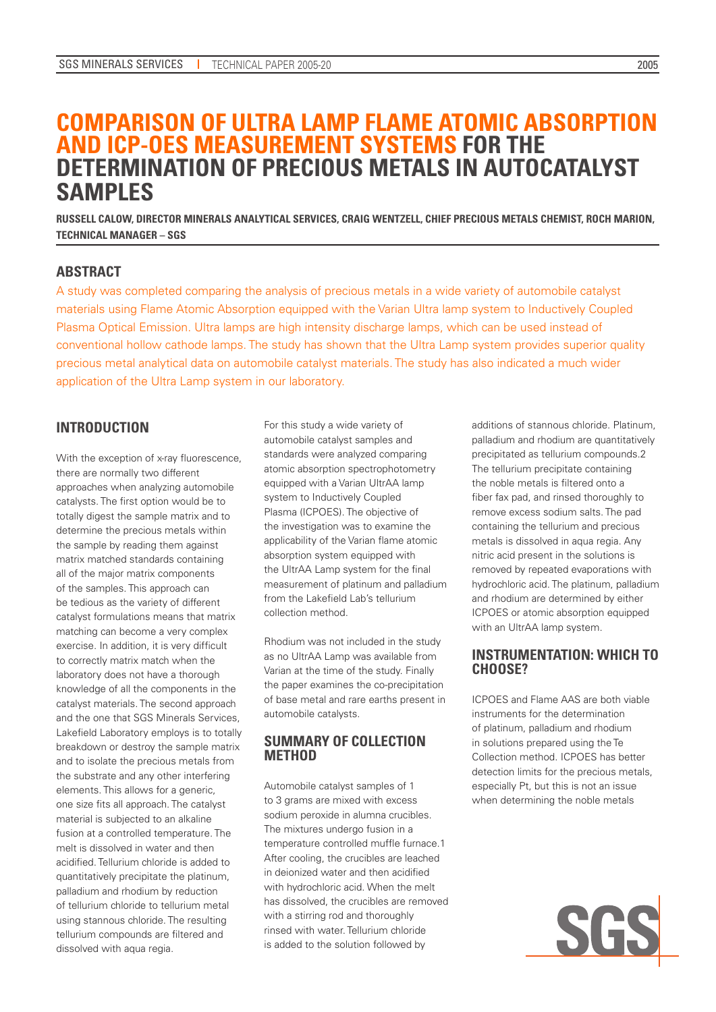# **COMPARISON OF ULTRA LAMP FLAME ATOMIC ABSORPTION AND ICP-OES MEASUREMENT SYSTEMS FOR THE DETERMINATION OF PRECIOUS METALS IN AUTOCATALYST SAMPLES**

**RUSSELL CALOW, DIRECTOR MINERALS ANALYTICAL SERVICES, CRAIG WENTZELL, CHIEF PRECIOUS METALS CHEMIST, ROCH MARION, TECHNICAL MANAGER – SGS** 

# **ABSTRACT**

A study was completed comparing the analysis of precious metals in a wide variety of automobile catalyst materials using Flame Atomic Absorption equipped with the Varian Ultra lamp system to Inductively Coupled Plasma Optical Emission. Ultra lamps are high intensity discharge lamps, which can be used instead of conventional hollow cathode lamps. The study has shown that the Ultra Lamp system provides superior quality precious metal analytical data on automobile catalyst materials. The study has also indicated a much wider application of the Ultra Lamp system in our laboratory.

# **INTRODUCTION**

With the exception of x-ray fluorescence, there are normally two different approaches when analyzing automobile catalysts. The first option would be to totally digest the sample matrix and to determine the precious metals within the sample by reading them against matrix matched standards containing all of the major matrix components of the samples. This approach can be tedious as the variety of different catalyst formulations means that matrix matching can become a very complex exercise. In addition, it is very difficult to correctly matrix match when the laboratory does not have a thorough knowledge of all the components in the catalyst materials. The second approach and the one that SGS Minerals Services, Lakefield Laboratory employs is to totally breakdown or destroy the sample matrix and to isolate the precious metals from the substrate and any other interfering elements. This allows for a generic, one size fits all approach. The catalyst material is subjected to an alkaline fusion at a controlled temperature. The melt is dissolved in water and then acidified. Tellurium chloride is added to quantitatively precipitate the platinum, palladium and rhodium by reduction of tellurium chloride to tellurium metal using stannous chloride. The resulting tellurium compounds are filtered and dissolved with aqua regia.

For this study a wide variety of automobile catalyst samples and standards were analyzed comparing atomic absorption spectrophotometry equipped with a Varian UltrAA lamp system to Inductively Coupled Plasma (ICPOES). The objective of the investigation was to examine the applicability of the Varian flame atomic absorption system equipped with the UltrAA Lamp system for the final measurement of platinum and palladium from the Lakefield Lab's tellurium collection method.

Rhodium was not included in the study as no UltrAA Lamp was available from Varian at the time of the study. Finally the paper examines the co-precipitation of base metal and rare earths present in automobile catalysts.

# **SUMMARY OF COLLECTION METHOD**

Automobile catalyst samples of 1 to 3 grams are mixed with excess sodium peroxide in alumna crucibles. The mixtures undergo fusion in a temperature controlled muffle furnace.1 After cooling, the crucibles are leached in deionized water and then acidified with hydrochloric acid. When the melt has dissolved, the crucibles are removed with a stirring rod and thoroughly rinsed with water. Tellurium chloride is added to the solution followed by

additions of stannous chloride. Platinum, palladium and rhodium are quantitatively precipitated as tellurium compounds.2 The tellurium precipitate containing the noble metals is filtered onto a fiber fax pad, and rinsed thoroughly to remove excess sodium salts. The pad containing the tellurium and precious metals is dissolved in aqua regia. Any nitric acid present in the solutions is removed by repeated evaporations with hydrochloric acid. The platinum, palladium and rhodium are determined by either ICPOES or atomic absorption equipped with an UltrAA lamp system.

# **INSTRUMENTATION: WHICH TO CHOOSE?**

ICPOES and Flame AAS are both viable instruments for the determination of platinum, palladium and rhodium in solutions prepared using the Te Collection method. ICPOES has better detection limits for the precious metals, especially Pt, but this is not an issue when determining the noble metals

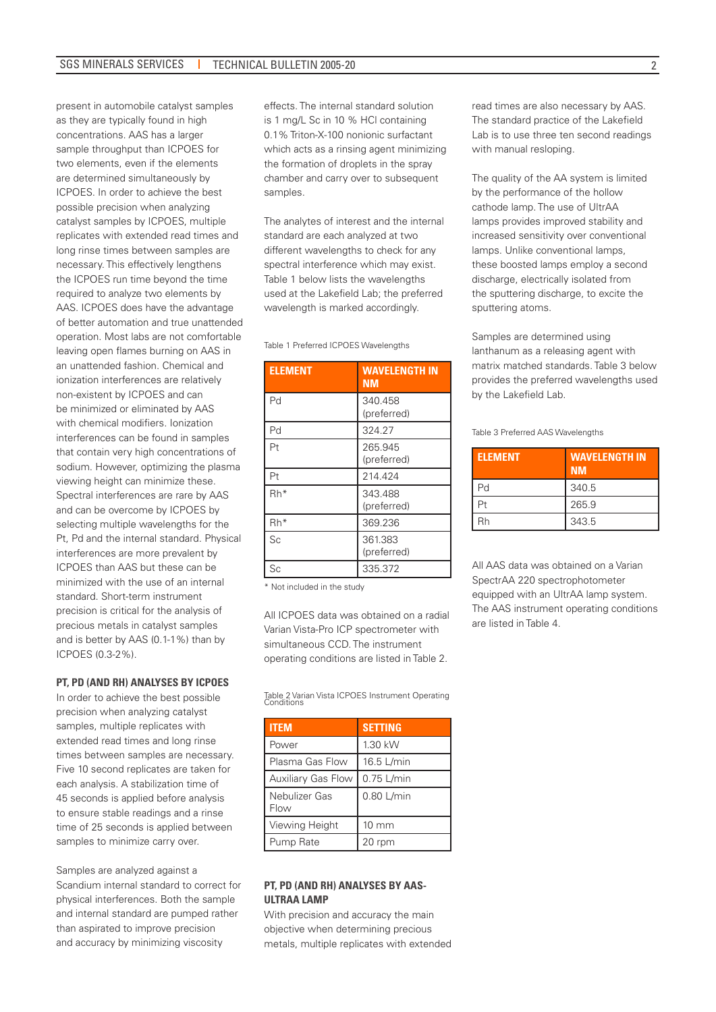present in automobile catalyst samples as they are typically found in high concentrations. AAS has a larger sample throughput than ICPOES for two elements, even if the elements are determined simultaneously by ICPOES. In order to achieve the best possible precision when analyzing catalyst samples by ICPOES, multiple replicates with extended read times and long rinse times between samples are necessary. This effectively lengthens the ICPOES run time beyond the time required to analyze two elements by AAS. ICPOES does have the advantage of better automation and true unattended operation. Most labs are not comfortable leaving open flames burning on AAS in an unattended fashion. Chemical and ionization interferences are relatively non-existent by ICPOES and can be minimized or eliminated by AAS with chemical modifiers. Ionization interferences can be found in samples that contain very high concentrations of sodium. However, optimizing the plasma viewing height can minimize these. Spectral interferences are rare by AAS and can be overcome by ICPOES by selecting multiple wavelengths for the Pt, Pd and the internal standard. Physical interferences are more prevalent by ICPOES than AAS but these can be minimized with the use of an internal standard. Short-term instrument precision is critical for the analysis of precious metals in catalyst samples and is better by AAS (0.1-1%) than by ICPOES (0.3-2%).

#### **PT, PD (AND RH) ANALYSES BY ICPOES**

In order to achieve the best possible precision when analyzing catalyst samples, multiple replicates with extended read times and long rinse times between samples are necessary. Five 10 second replicates are taken for each analysis. A stabilization time of 45 seconds is applied before analysis to ensure stable readings and a rinse time of 25 seconds is applied between samples to minimize carry over.

Samples are analyzed against a Scandium internal standard to correct for physical interferences. Both the sample and internal standard are pumped rather than aspirated to improve precision and accuracy by minimizing viscosity

effects. The internal standard solution is 1 mg/L Sc in 10 % HCl containing 0.1% Triton-X-100 nonionic surfactant which acts as a rinsing agent minimizing the formation of droplets in the spray chamber and carry over to subsequent samples.

The analytes of interest and the internal standard are each analyzed at two different wavelengths to check for any spectral interference which may exist. Table 1 below lists the wavelengths used at the Lakefield Lab; the preferred wavelength is marked accordingly.

Table 1 Preferred ICPOES Wavelengths

| <b>ELEMENT</b> | <b>WAVELENGTH IN</b><br><b>NM</b> |
|----------------|-----------------------------------|
| Pd             | 340.458<br>(preferred)            |
| Pd             | 324.27                            |
| Pt             | 265.945<br>(preferred)            |
| Pt             | 214.424                           |
| Rh*            | 343.488<br>(preferred)            |
| Rh*            | 369.236                           |
| Sc             | 361.383<br>(preferred)            |
| Sc             | 335.372                           |

\* Not included in the study

All ICPOES data was obtained on a radial Varian Vista-Pro ICP spectrometer with simultaneous CCD. The instrument operating conditions are listed in Table 2.

Table 2 Varian Vista ICPOES Instrument Operating Conditions

| ITEM                      | <b>SETTING</b>  |
|---------------------------|-----------------|
| Power                     | 1.30 kW         |
| Plasma Gas Flow           | 16.5 L/min      |
| <b>Auxiliary Gas Flow</b> | 0.75 L/min      |
| Nebulizer Gas<br>Flow     | 0.80 L/min      |
| Viewing Height            | $10 \text{ mm}$ |
| Pump Rate                 | 20 rpm          |

#### **PT, PD (AND RH) ANALYSES BY AAS-ULTRAA LAMP**

With precision and accuracy the main objective when determining precious metals, multiple replicates with extended read times are also necessary by AAS. The standard practice of the Lakefield Lab is to use three ten second readings with manual resloping.

The quality of the AA system is limited by the performance of the hollow cathode lamp. The use of UltrAA lamps provides improved stability and increased sensitivity over conventional lamps. Unlike conventional lamps, these boosted lamps employ a second discharge, electrically isolated from the sputtering discharge, to excite the sputtering atoms.

Samples are determined using lanthanum as a releasing agent with matrix matched standards. Table 3 below provides the preferred wavelengths used by the Lakefield Lab.

Table 3 Preferred AAS Wavelengths

| <b>ELEMENT</b> | <b>WAVELENGTH IN</b><br><b>NM</b> |
|----------------|-----------------------------------|
| Pd             | 340.5                             |
|                | 265.9                             |
| Rh             | 343.5                             |

All AAS data was obtained on a Varian SpectrAA 220 spectrophotometer equipped with an UltrAA lamp system. The AAS instrument operating conditions are listed in Table 4.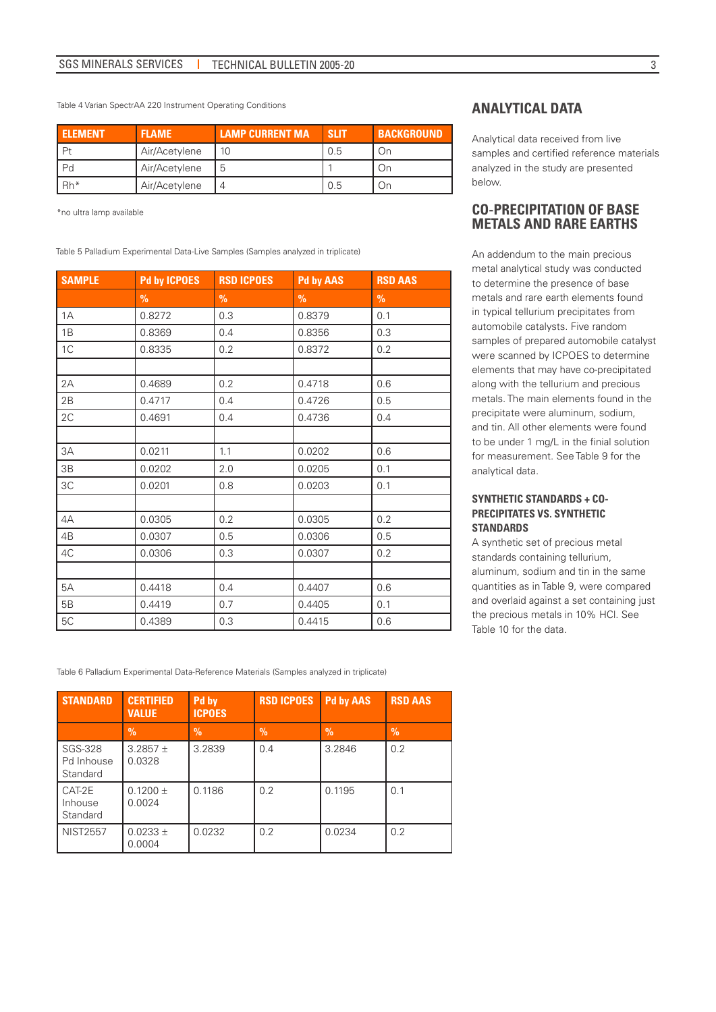Table 4 Varian SpectrAA 220 Instrument Operating Conditions

| <b>ELEMENT</b> | <b>FLAME</b>  | <b>LAMP CURRENT MA</b> | <b>SLIT</b> | <b>BACKGROUND</b> |
|----------------|---------------|------------------------|-------------|-------------------|
| Pt             | Air/Acetylene | 10                     | 0.5         | On                |
| Pd             | Air/Acetylene |                        |             | ()n               |
| $Rh*$          | Air/Acetylene |                        | 0.5         | (Jn               |

\*no ultra lamp available

Table 5 Palladium Experimental Data-Live Samples (Samples analyzed in triplicate)

| <b>SAMPLE</b> | <b>Pd by ICPOES</b> | <b>RSD ICPOES</b> | <b>Pd by AAS</b> | <b>RSD AAS</b> |
|---------------|---------------------|-------------------|------------------|----------------|
|               | $\frac{9}{6}$       | $\frac{9}{6}$     | $\frac{0}{0}$    | $\frac{9}{6}$  |
| 1A            | 0.8272              | 0.3               | 0.8379           | 0.1            |
| 1B            | 0.8369              | 0.4               | 0.8356           | 0.3            |
| 1C            | 0.8335              | 0.2               | 0.8372           | 0.2            |
|               |                     |                   |                  |                |
| 2A            | 0.4689              | 0.2               | 0.4718           | 0.6            |
| 2B            | 0.4717              | 0.4               | 0.4726           | 0.5            |
| 2C            | 0.4691              | 0.4               | 0.4736           | 0.4            |
|               |                     |                   |                  |                |
| 3A            | 0.0211              | 1.1               | 0.0202           | 0.6            |
| 3B            | 0.0202              | 2.0               | 0.0205           | 0.1            |
| 3C            | 0.0201              | 0.8               | 0.0203           | 0.1            |
|               |                     |                   |                  |                |
| 4A            | 0.0305              | 0.2               | 0.0305           | 0.2            |
| 4B            | 0.0307              | 0.5               | 0.0306           | 0.5            |
| 4C            | 0.0306              | 0.3               | 0.0307           | 0.2            |
|               |                     |                   |                  |                |
| 5A            | 0.4418              | 0.4               | 0.4407           | 0.6            |
| $5\mathsf{B}$ | 0.4419              | 0.7               | 0.4405           | 0.1            |
| 5C            | 0.4389              | 0.3               | 0.4415           | 0.6            |

### **ANALYTICAL DATA**

Analytical data received from live samples and certified reference materials analyzed in the study are presented below.

# **CO-PRECIPITATION OF BASE METALS AND RARE EARTHS**

An addendum to the main precious metal analytical study was conducted to determine the presence of base metals and rare earth elements found in typical tellurium precipitates from automobile catalysts. Five random samples of prepared automobile catalyst were scanned by ICPOES to determine elements that may have co-precipitated along with the tellurium and precious metals. The main elements found in the precipitate were aluminum, sodium, and tin. All other elements were found to be under 1 mg/L in the finial solution for measurement. See Table 9 for the analytical data.

#### **SYNTHETIC STANDARDS + CO-PRECIPITATES VS. SYNTHETIC STANDARDS**

A synthetic set of precious metal standards containing tellurium, aluminum, sodium and tin in the same quantities as in Table 9, were compared and overlaid against a set containing just the precious metals in 10% HCl. See Table 10 for the data.

Table 6 Palladium Experimental Data-Reference Materials (Samples analyzed in triplicate)

| <b>STANDARD</b>                          | <b>CERTIFIED</b><br><b>VALUE</b> | Pd by<br><b>ICPOES</b> | <b>RSD ICPOES</b> | <b>Pd by AAS</b> | <b>RSD AAS</b> |
|------------------------------------------|----------------------------------|------------------------|-------------------|------------------|----------------|
|                                          | $\%$                             | $\sqrt{2}$             | $\sqrt{2}$        | $\%$             | $\frac{9}{6}$  |
| <b>SGS-328</b><br>Pd Inhouse<br>Standard | 3.2857 $\pm$<br>0.0328           | 3.2839                 | 0.4               | 3.2846           | 0.2            |
| CAT-2E<br>Inhouse<br>Standard            | $0.1200 \pm$<br>0.0024           | 0.1186                 | 0.2               | 0.1195           | 0.1            |
| <b>NIST2557</b>                          | $0.0233 \pm$<br>0.0004           | 0.0232                 | 0.2               | 0.0234           | 0.2            |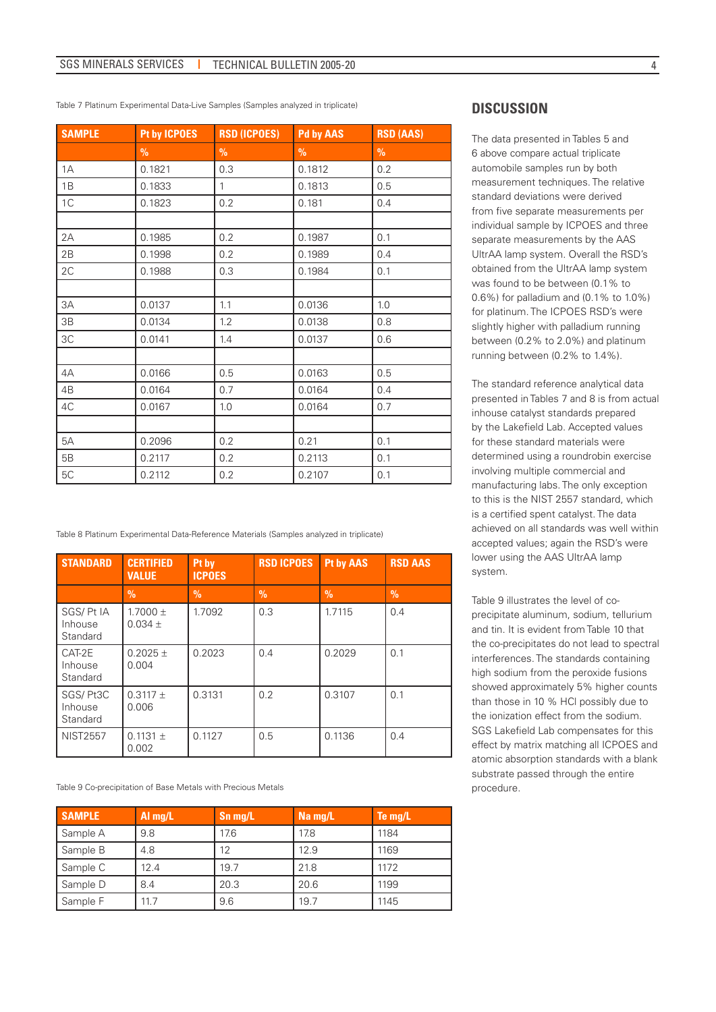| <b>SAMPLE</b> | Pt by ICPOES  | <b>RSD (ICPOES)</b> | <b>Pd by AAS</b> | <b>RSD (AAS)</b> |
|---------------|---------------|---------------------|------------------|------------------|
|               | $\frac{9}{6}$ | $\frac{9}{6}$       | $\frac{9}{6}$    | $\frac{9}{6}$    |
| 1A            | 0.1821        | 0.3                 | 0.1812           | 0.2              |
| 1B            | 0.1833        | $\mathbf{1}$        | 0.1813           | 0.5              |
| 1C            | 0.1823        | 0.2                 | 0.181            | 0.4              |
|               |               |                     |                  |                  |
| 2A            | 0.1985        | 0.2                 | 0.1987           | 0.1              |
| 2B            | 0.1998        | 0.2                 | 0.1989           | 0.4              |
| 2C            | 0.1988        | 0.3                 | 0.1984           | 0.1              |
|               |               |                     |                  |                  |
| 3A            | 0.0137        | 1.1                 | 0.0136           | 1.0              |
| 3B            | 0.0134        | 1.2                 | 0.0138           | 0.8              |
| 3C            | 0.0141        | 1.4                 | 0.0137           | 0.6              |
|               |               |                     |                  |                  |
| 4A            | 0.0166        | 0.5                 | 0.0163           | 0.5              |
| 4B            | 0.0164        | 0.7                 | 0.0164           | 0.4              |
| 4C            | 0.0167        | 1.0                 | 0.0164           | 0.7              |
|               |               |                     |                  |                  |
| 5A            | 0.2096        | 0.2                 | 0.21             | 0.1              |
| 5B            | 0.2117        | 0.2                 | 0.2113           | 0.1              |
| 5С            | 0.2112        | 0.2                 | 0.2107           | 0.1              |

Table 7 Platinum Experimental Data-Live Samples (Samples analyzed in triplicate)

Table 8 Platinum Experimental Data-Reference Materials (Samples analyzed in triplicate)

| <b>STANDARD</b>                  | <b>CERTIFIED</b><br><b>VALUE</b> | Pt by<br><b>ICPOES</b> | <b>RSD ICPOES</b> | <b>Pt by AAS</b> | <b>RSD AAS</b> |
|----------------------------------|----------------------------------|------------------------|-------------------|------------------|----------------|
|                                  | $\frac{0}{0}$                    | $\frac{9}{6}$          | $\frac{0}{0}$     | $\frac{0}{0}$    | $\frac{0}{0}$  |
| SGS/Pt IA<br>Inhouse<br>Standard | $1.7000 \pm$<br>$0.034 +$        | 1.7092                 | 0.3               | 1.7115           | 0.4            |
| CAT-2E<br>Inhouse<br>Standard    | $0.2025 +$<br>0.004              | 0.2023                 | 0.4               | 0.2029           | 0.1            |
| SGS/Pt3C<br>Inhouse<br>Standard  | $0.3117 +$<br>0.006              | 0.3131                 | 0.2               | 0.3107           | 0.1            |
| <b>NIST2557</b>                  | $0.1131 \pm$<br>0.002            | 0.1127                 | 0.5               | 0.1136           | 0.4            |

Table 9 Co-precipitation of Base Metals with Precious Metals

| <b>SAMPLE</b> | Al $mg/L$ | $Sn$ mg/L | Na mg/L | Te mg/L |
|---------------|-----------|-----------|---------|---------|
| Sample A      | 9.8       | 17.6      | 17.8    | 1184    |
| Sample B      | 4.8       | 12        | 12.9    | 1169    |
| Sample C      | 12.4      | 19.7      | 21.8    | 1172    |
| Sample D      | 8.4       | 20.3      | 20.6    | 1199    |
| Sample F      | 11.7      | 9.6       | 19.7    | 1145    |

#### **DISCUSSION**

The data presented in Tables 5 and 6 above compare actual triplicate automobile samples run by both measurement techniques. The relative standard deviations were derived from five separate measurements per individual sample by ICPOES and three separate measurements by the AAS UltrAA lamp system. Overall the RSD's obtained from the UltrAA lamp system was found to be between (0.1% to 0.6%) for palladium and (0.1% to 1.0%) for platinum. The ICPOES RSD's were slightly higher with palladium running between (0.2% to 2.0%) and platinum running between (0.2% to 1.4%).

The standard reference analytical data presented in Tables 7 and 8 is from actual inhouse catalyst standards prepared by the Lakefield Lab. Accepted values for these standard materials were determined using a roundrobin exercise involving multiple commercial and manufacturing labs. The only exception to this is the NIST 2557 standard, which is a certified spent catalyst. The data achieved on all standards was well within accepted values; again the RSD's were lower using the AAS UltrAA lamp system.

Table 9 illustrates the level of coprecipitate aluminum, sodium, tellurium and tin. It is evident from Table 10 that the co-precipitates do not lead to spectral interferences. The standards containing high sodium from the peroxide fusions showed approximately 5% higher counts than those in 10 % HCl possibly due to the ionization effect from the sodium. SGS Lakefield Lab compensates for this effect by matrix matching all ICPOES and atomic absorption standards with a blank substrate passed through the entire procedure.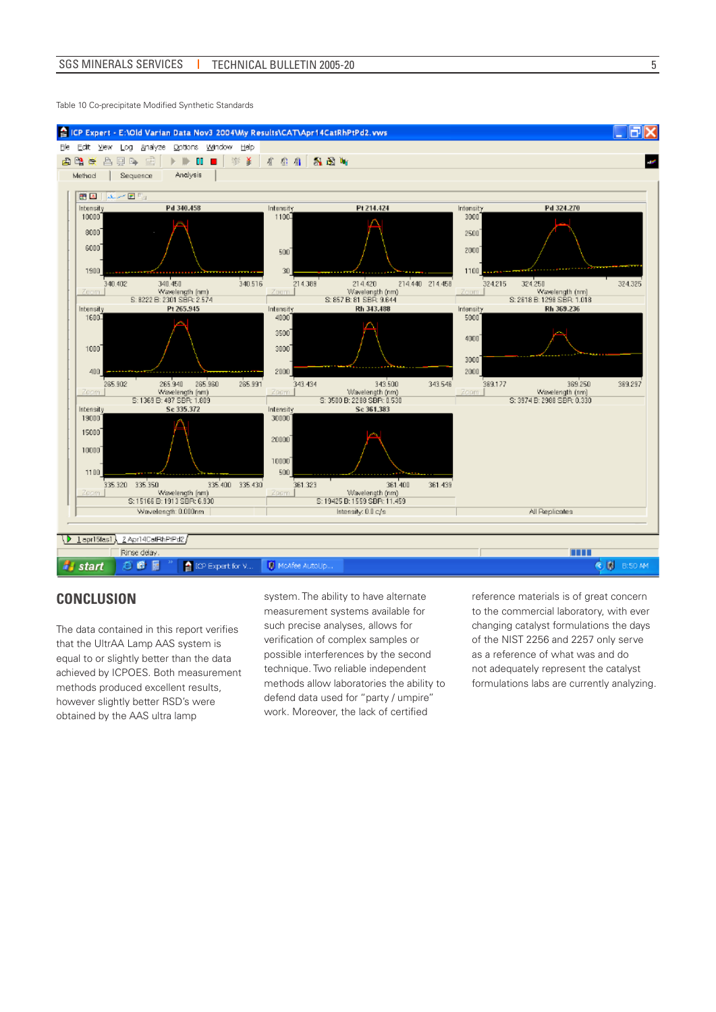



# **CONCLUSION**

The data contained in this report verifies that the UltrAA Lamp AAS system is equal to or slightly better than the data achieved by ICPOES. Both measurement methods produced excellent results, however slightly better RSD's were obtained by the AAS ultra lamp

system. The ability to have alternate measurement systems available for such precise analyses, allows for verification of complex samples or possible interferences by the second technique. Two reliable independent methods allow laboratories the ability to defend data used for "party / umpire" work. Moreover, the lack of certified

reference materials is of great concern to the commercial laboratory, with ever changing catalyst formulations the days of the NIST 2256 and 2257 only serve as a reference of what was and do not adequately represent the catalyst formulations labs are currently analyzing.